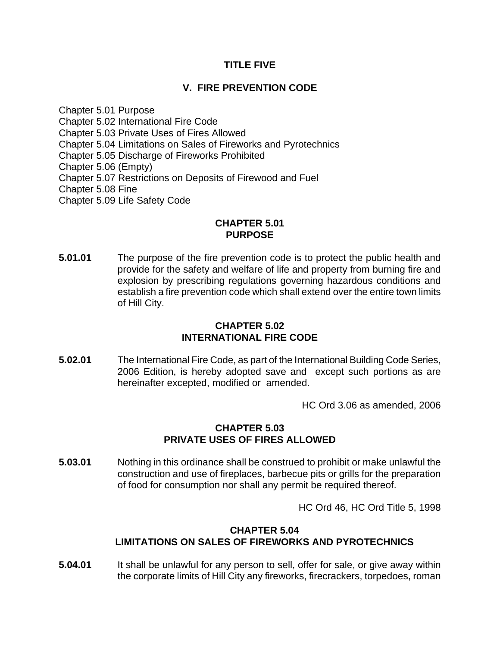# **TITLE FIVE**

# **V. FIRE PREVENTION CODE**

Chapter 5.01 Purpose Chapter 5.02 International Fire Code Chapter 5.03 Private Uses of Fires Allowed Chapter 5.04 Limitations on Sales of Fireworks and Pyrotechnics Chapter 5.05 Discharge of Fireworks Prohibited Chapter 5.06 (Empty) Chapter 5.07 Restrictions on Deposits of Firewood and Fuel Chapter 5.08 Fine Chapter 5.09 Life Safety Code

#### **CHAPTER 5.01 PURPOSE**

**5.01.01** The purpose of the fire prevention code is to protect the public health and provide for the safety and welfare of life and property from burning fire and explosion by prescribing regulations governing hazardous conditions and establish a fire prevention code which shall extend over the entire town limits of Hill City.

# **CHAPTER 5.02 INTERNATIONAL FIRE CODE**

**5.02.01** The International Fire Code, as part of the International Building Code Series, 2006 Edition, is hereby adopted save and except such portions as are hereinafter excepted, modified or amended.

HC Ord 3.06 as amended, 2006

## **CHAPTER 5.03 PRIVATE USES OF FIRES ALLOWED**

**5.03.01** Nothing in this ordinance shall be construed to prohibit or make unlawful the construction and use of fireplaces, barbecue pits or grills for the preparation of food for consumption nor shall any permit be required thereof.

HC Ord 46, HC Ord Title 5, 1998

## **CHAPTER 5.04 LIMITATIONS ON SALES OF FIREWORKS AND PYROTECHNICS**

**5.04.01** It shall be unlawful for any person to sell, offer for sale, or give away within the corporate limits of Hill City any fireworks, firecrackers, torpedoes, roman